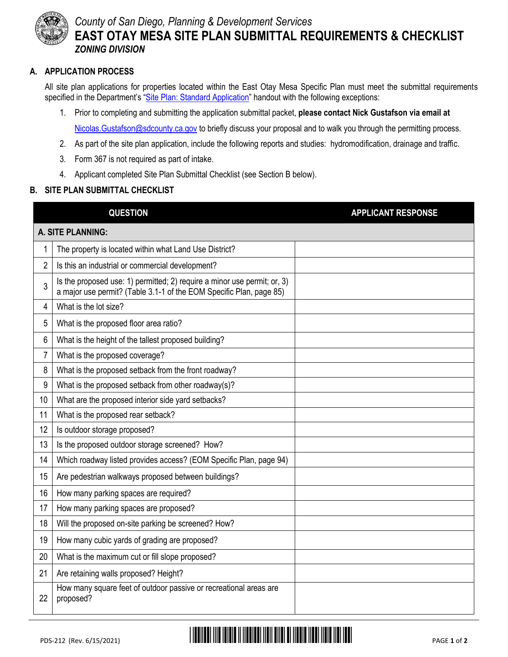

## *County of San Diego, Planning & Development Services* **EAST OTAY MESA SITE PLAN SUBMITTAL REQUIREMENTS & CHECKLIST** *ZONING DIVISION*

## **A. APPLICATION PROCESS**

All site plan applications for properties located within the East Otay Mesa Specific Plan must meet the submittal requirements specified in the Department's "[Site Plan: Standard Application](http://www.sdcounty.ca.gov/pds/zoning/formfields/ESUB_STP_Standard.pdf)" handout with the following exceptions:

- 1. Prior to completing and submitting the application submittal packet, **please contact Nick Gustafson via email at** Nicolas. Gustafson@sdcounty.ca.gov to briefly discuss your proposal and to walk you through the permitting process.
- 2. As part of the site plan application, include the following reports and studies: hydromodification, drainage and traffic.
- 3. Form 367 is not required as part of intake.
- 4. Applicant completed Site Plan Submittal Checklist (see Section B below).

## **B. SITE PLAN SUBMITTAL CHECKLIST**

|                   | <b>QUESTION</b>                                                                                                                                 | <b>APPLICANT RESPONSE</b> |
|-------------------|-------------------------------------------------------------------------------------------------------------------------------------------------|---------------------------|
| A. SITE PLANNING: |                                                                                                                                                 |                           |
| 1                 | The property is located within what Land Use District?                                                                                          |                           |
| $\overline{2}$    | Is this an industrial or commercial development?                                                                                                |                           |
| 3                 | Is the proposed use: 1) permitted; 2) require a minor use permit; or, 3)<br>a major use permit? (Table 3.1-1 of the EOM Specific Plan, page 85) |                           |
| 4                 | What is the lot size?                                                                                                                           |                           |
| 5                 | What is the proposed floor area ratio?                                                                                                          |                           |
| 6                 | What is the height of the tallest proposed building?                                                                                            |                           |
| 7                 | What is the proposed coverage?                                                                                                                  |                           |
| 8                 | What is the proposed setback from the front roadway?                                                                                            |                           |
| 9                 | What is the proposed setback from other roadway(s)?                                                                                             |                           |
| 10                | What are the proposed interior side yard setbacks?                                                                                              |                           |
| 11                | What is the proposed rear setback?                                                                                                              |                           |
| 12                | Is outdoor storage proposed?                                                                                                                    |                           |
| 13                | Is the proposed outdoor storage screened? How?                                                                                                  |                           |
| 14                | Which roadway listed provides access? (EOM Specific Plan, page 94)                                                                              |                           |
| 15                | Are pedestrian walkways proposed between buildings?                                                                                             |                           |
| 16                | How many parking spaces are required?                                                                                                           |                           |
| 17                | How many parking spaces are proposed?                                                                                                           |                           |
| 18                | Will the proposed on-site parking be screened? How?                                                                                             |                           |
| 19                | How many cubic yards of grading are proposed?                                                                                                   |                           |
| 20                | What is the maximum cut or fill slope proposed?                                                                                                 |                           |
| 21                | Are retaining walls proposed? Height?                                                                                                           |                           |
| 22                | How many square feet of outdoor passive or recreational areas are<br>proposed?                                                                  |                           |

## PDS-212 (Rev. 6/15/2021) \*PDS-PLN-212\* PAGE **<sup>1</sup>** of **<sup>2</sup>**